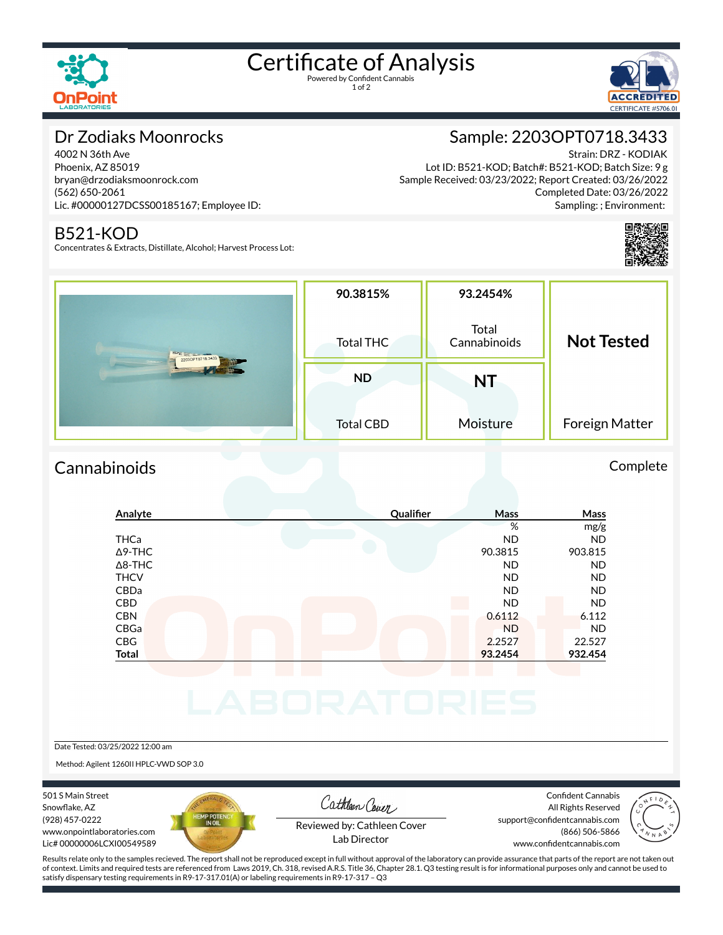

# Certificate of Analysis

1 of 2



### Dr Zodiaks Moonrocks

4002 N 36th Ave Phoenix, AZ 85019 bryan@drzodiaksmoonrock.com (562) 650-2061 Lic. #00000127DCSS00185167; Employee ID:

#### B521-KOD

Concentrates & Extracts, Distillate, Alcohol; Harvest Process Lot:

### Sample: 2203OPT0718.3433

Strain: DRZ - KODIAK Lot ID: B521-KOD; Batch#: B521-KOD; Batch Size: 9 g Sample Received: 03/23/2022; Report Created: 03/26/2022 Completed Date: 03/26/2022 Sampling: ; Environment:



| <b>EDPET 22030PT0718.3433</b> | 90.3815%<br>Total THC         | 93.2454%<br>Total<br>Cannabinoids | <b>Not Tested</b> |
|-------------------------------|-------------------------------|-----------------------------------|-------------------|
|                               | <b>ND</b><br><b>Total CBD</b> | NT<br>Moisture                    | Foreign Matter    |

### Cannabinoids Complete

### **Analyte Quali×er Mass Mass** % mg/g THCa ND ND Δ9-THC 90.3815 903.815 Δ8-THC ND ND THCV ND ND CBDa ND ND CBD ND ND  $CD$  0.6112 6.112 CBGa ND ND CBG 2.2527 22.527 **Total 93.2454 932.454**

Date Tested: 03/25/2022 12:00 am

Method: Agilent 1260II HPLC-VWD SOP 3.0

501 S Main Street Snowflake, AZ (928) 457-0222 www.onpointlaboratories.com Lic# 00000006LCXI00549589



Cathleen Cover

Confident Cannabis All Rights Reserved support@confidentcannabis.com (866) 506-5866



Reviewed by: Cathleen Cover Lab Director

www.confidentcannabis.com

Results relate only to the samples recieved. The report shall not be reproduced except in full without approval of the laboratory can provide assurance that parts of the report are not taken out of context. Limits and required tests are referenced from Laws 2019, Ch. 318, revised A.R.S. Title 36, Chapter 28.1. Q3 testing result is for informational purposes only and cannot be used to satisfy dispensary testing requirements in R9-17-317.01(A) or labeling requirements in R9-17-317 – Q3